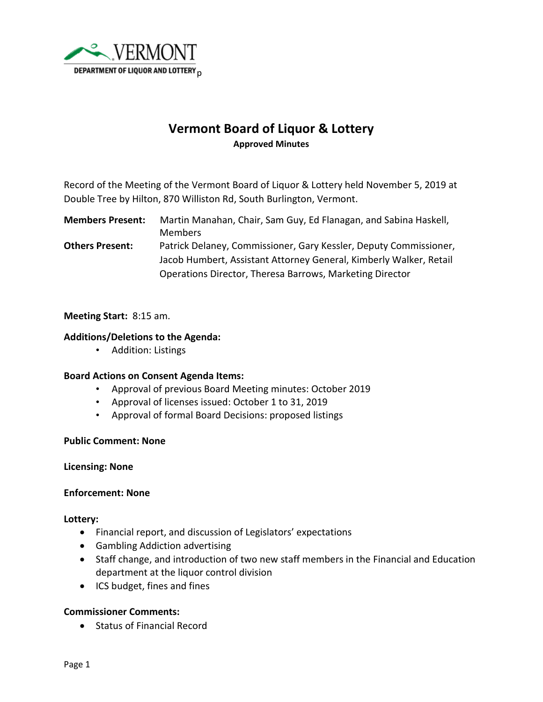

# **Vermont Board of Liquor & Lottery Approved Minutes**

Record of the Meeting of the Vermont Board of Liquor & Lottery held November 5, 2019 at Double Tree by Hilton, 870 Williston Rd, South Burlington, Vermont.

**Members Present:** Martin Manahan, Chair, Sam Guy, Ed Flanagan, and Sabina Haskell, Members **Others Present:** Patrick Delaney, Commissioner, Gary Kessler, Deputy Commissioner, Jacob Humbert, Assistant Attorney General, Kimberly Walker, Retail Operations Director, Theresa Barrows, Marketing Director

## **Meeting Start:** 8:15 am.

## **Additions/Deletions to the Agenda:**

• Addition: Listings

## **Board Actions on Consent Agenda Items:**

- Approval of previous Board Meeting minutes: October 2019
- Approval of licenses issued: October 1 to 31, 2019
- Approval of formal Board Decisions: proposed listings

#### **Public Comment: None**

**Licensing: None**

#### **Enforcement: None**

**Lottery:**

- Financial report, and discussion of Legislators' expectations
- Gambling Addiction advertising
- Staff change, and introduction of two new staff members in the Financial and Education department at the liquor control division
- ICS budget, fines and fines

## **Commissioner Comments:**

• Status of Financial Record